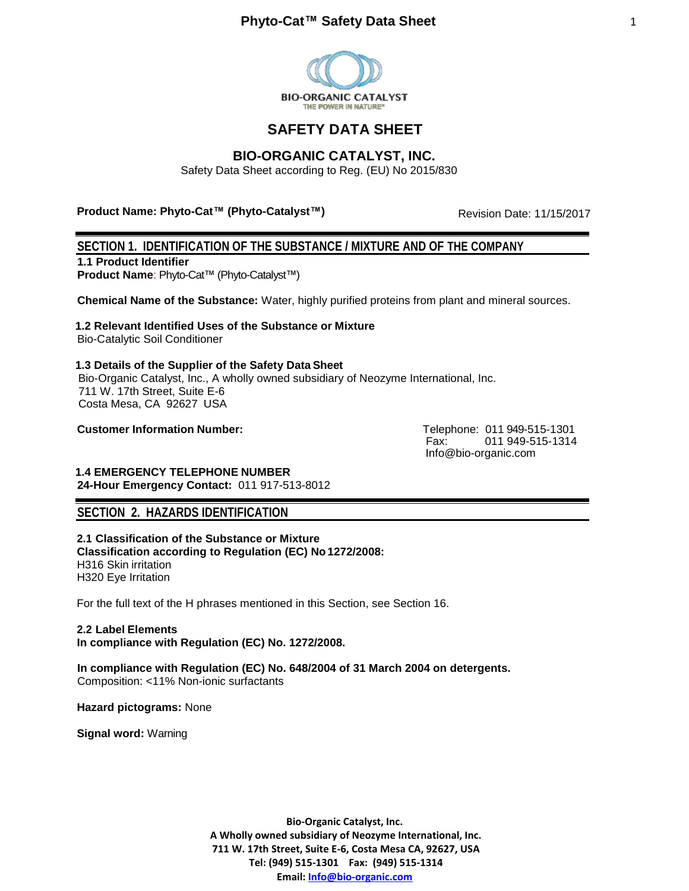

# **SAFETY DATA SHEET**

# **BIO-ORGANIC CATALYST, INC.**

Safety Data Sheet according to Reg. (EU) No 2015/830

# **Product Name: Phyto-Cat™ (Phyto-Catalyst™)**

Revision Date: 11/15/2017

# **SECTION 1. IDENTIFICATION OF THE SUBSTANCE / MIXTURE AND OF THE COMPANY**

**1.1 Product Identifier**

**Product Name**: Phyto-Cat™ (Phyto-Catalyst™)

**Chemical Name of the Substance:** Water, highly purified proteins from plant and mineral sources.

 **1.2 Relevant Identified Uses of the Substance or Mixture** Bio-Catalytic Soil Conditioner

 **1.3 Details of the Supplier of the Safety Data Sheet** Bio-Organic Catalyst, Inc., A wholly owned subsidiary of Neozyme International, Inc. 711 W. 17th Street, Suite E-6 Costa Mesa, CA 92627 USA

**Customer Information Number:** Telephone: 011 949-515-1301<br>Fax: 011 949-515-1314 011 949-515-1314 [Info@bio-organic.com](mailto:Info@bio-organic.com)

 **1.4 EMERGENCY TELEPHONE NUMBER 24-Hour Emergency Contact:** 011 917-513-8012

# **SECTION 2. HAZARDS IDENTIFICATION**

**2.1 Classification of the Substance or Mixture Classification according to Regulation (EC) No1272/2008:**  H316 Skin irritation H320 Eye Irritation

For the full text of the H phrases mentioned in this Section, see Section 16.

# **2.2 Label Elements**

**In compliance with Regulation (EC) No. 1272/2008.** 

### **In compliance with Regulation (EC) No. 648/2004 of 31 March 2004 on detergents.** Composition: <11% Non-ionic surfactants

**Hazard pictograms:** None

**Signal word:** Warning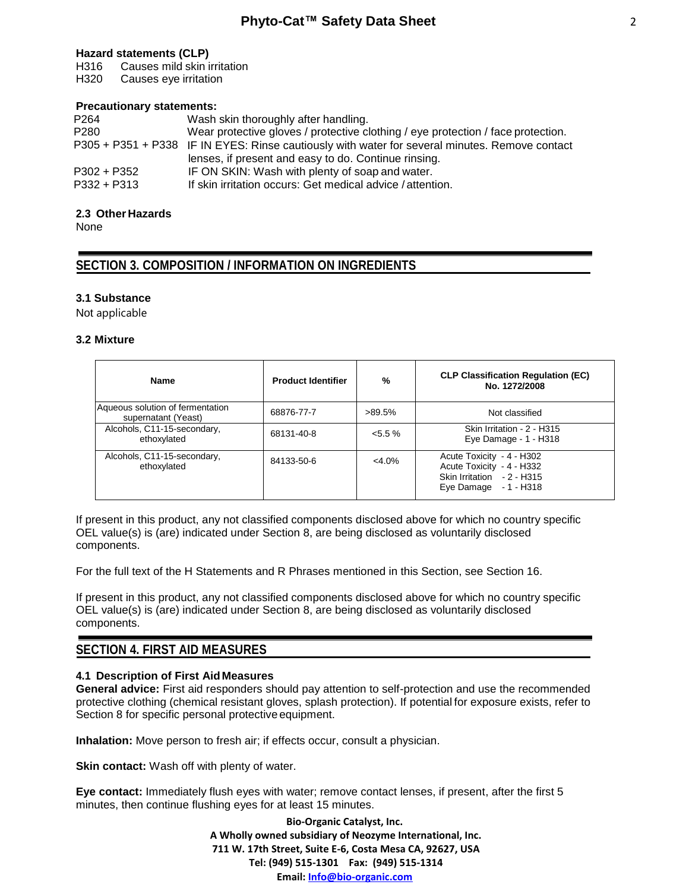# **Hazard statements (CLP)**

H316 Causes mild skin irritation

H320 Causes eye irritation

# **Precautionary statements:**

| P <sub>264</sub> | Wash skin thoroughly after handling.                                                           |
|------------------|------------------------------------------------------------------------------------------------|
| P <sub>280</sub> | Wear protective gloves / protective clothing / eye protection / face protection.               |
|                  | P305 + P351 + P338 IF IN EYES: Rinse cautiously with water for several minutes. Remove contact |
|                  | lenses, if present and easy to do. Continue rinsing.                                           |
| $P302 + P352$    | IF ON SKIN: Wash with plenty of soap and water.                                                |
| $P332 + P313$    | If skin irritation occurs: Get medical advice / attention.                                     |

# **2.3 Other Hazards**

None

# **SECTION 3. COMPOSITION / INFORMATION ON INGREDIENTS**

# **3.1 Substance**

Not applicable

### **3.2 Mixture**

| <b>Name</b>                                             | <b>Product Identifier</b> | %          | <b>CLP Classification Regulation (EC)</b><br>No. 1272/2008                                                    |
|---------------------------------------------------------|---------------------------|------------|---------------------------------------------------------------------------------------------------------------|
| Aqueous solution of fermentation<br>supernatant (Yeast) | 68876-77-7                | >89.5%     | Not classified                                                                                                |
| Alcohols, C11-15-secondary,<br>ethoxylated              | 68131-40-8                | $< 5.5 \%$ | Skin Irritation - 2 - H315<br>Eye Damage - 1 - H318                                                           |
| Alcohols, C11-15-secondary,<br>ethoxylated              | 84133-50-6                | $<4.0\%$   | Acute Toxicity - 4 - H302<br>Acute Toxicity - 4 - H332<br>Skin Irritation - 2 - H315<br>Eye Damage - 1 - H318 |

If present in this product, any not classified components disclosed above for which no country specific OEL value(s) is (are) indicated under Section 8, are being disclosed as voluntarily disclosed components.

For the full text of the H Statements and R Phrases mentioned in this Section, see Section 16.

If present in this product, any not classified components disclosed above for which no country specific OEL value(s) is (are) indicated under Section 8, are being disclosed as voluntarily disclosed components.

# **SECTION 4. FIRST AID MEASURES**

# **4.1 Description of First Aid Measures**

**General advice:** First aid responders should pay attention to self-protection and use the recommended protective clothing (chemical resistant gloves, splash protection). If potential for exposure exists, refer to Section 8 for specific personal protective equipment.

**Inhalation:** Move person to fresh air; if effects occur, consult a physician.

**Skin contact:** Wash off with plenty of water.

**Eye contact:** Immediately flush eyes with water; remove contact lenses, if present, after the first 5 minutes, then continue flushing eyes for at least 15 minutes.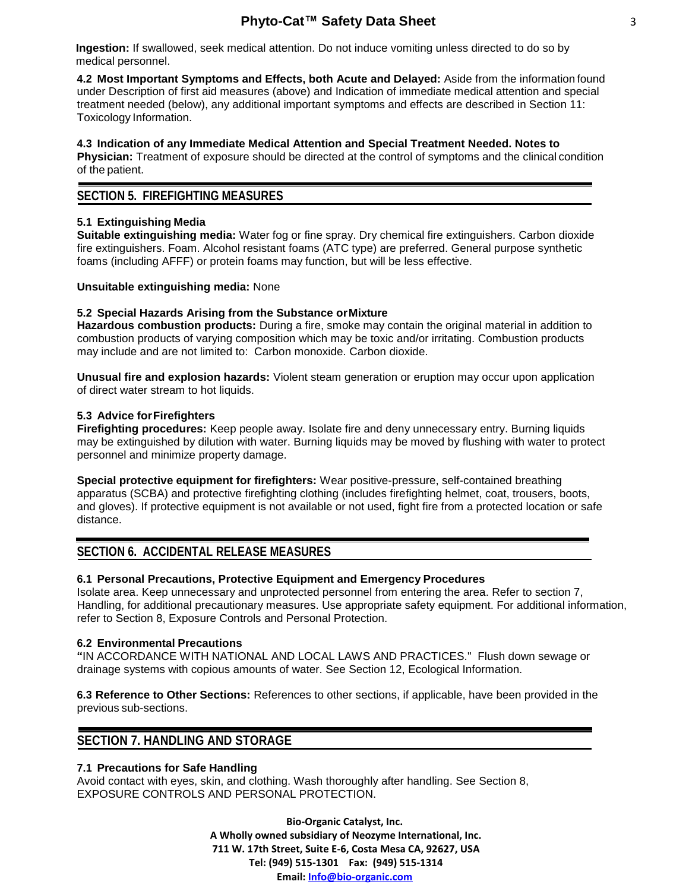**Ingestion:** If swallowed, seek medical attention. Do not induce vomiting unless directed to do so by medical personnel.

**4.2 Most Important Symptoms and Effects, both Acute and Delayed:** Aside from the information found under Description of first aid measures (above) and Indication of immediate medical attention and special treatment needed (below), any additional important symptoms and effects are described in Section 11: Toxicology Information.

**4.3 Indication of any Immediate Medical Attention and Special Treatment Needed. Notes to Physician:** Treatment of exposure should be directed at the control of symptoms and the clinical condition of the patient.

# **SECTION 5. FIREFIGHTING MEASURES**

# **5.1 Extinguishing Media**

**Suitable extinguishing media:** Water fog or fine spray. Dry chemical fire extinguishers. Carbon dioxide fire extinguishers. Foam. Alcohol resistant foams (ATC type) are preferred. General purpose synthetic foams (including AFFF) or protein foams may function, but will be less effective.

# **Unsuitable extinguishing media:** None

# **5.2 Special Hazards Arising from the Substance orMixture**

**Hazardous combustion products:** During a fire, smoke may contain the original material in addition to combustion products of varying composition which may be toxic and/or irritating. Combustion products may include and are not limited to: Carbon monoxide. Carbon dioxide.

**Unusual fire and explosion hazards:** Violent steam generation or eruption may occur upon application of direct water stream to hot liquids.

# **5.3 Advice forFirefighters**

**Firefighting procedures:** Keep people away. Isolate fire and deny unnecessary entry. Burning liquids may be extinguished by dilution with water. Burning liquids may be moved by flushing with water to protect personnel and minimize property damage.

**Special protective equipment for firefighters:** Wear positive-pressure, self-contained breathing apparatus (SCBA) and protective firefighting clothing (includes firefighting helmet, coat, trousers, boots, and gloves). If protective equipment is not available or not used, fight fire from a protected location or safe distance.

# **SECTION 6. ACCIDENTAL RELEASE MEASURES**

# **6.1 Personal Precautions, Protective Equipment and Emergency Procedures**

Isolate area. Keep unnecessary and unprotected personnel from entering the area. Refer to section 7, Handling, for additional precautionary measures. Use appropriate safety equipment. For additional information, refer to Section 8, Exposure Controls and Personal Protection.

# **6.2 Environmental Precautions**

**"**IN ACCORDANCE WITH NATIONAL AND LOCAL LAWS AND PRACTICES." Flush down sewage or drainage systems with copious amounts of water. See Section 12, Ecological Information.

**6.3 Reference to Other Sections:** References to other sections, if applicable, have been provided in the previous sub-sections.

# **SECTION 7. HANDLING AND STORAGE**

# **7.1 Precautions for Safe Handling**

Avoid contact with eyes, skin, and clothing. Wash thoroughly after handling. See Section 8, EXPOSURE CONTROLS AND PERSONAL PROTECTION.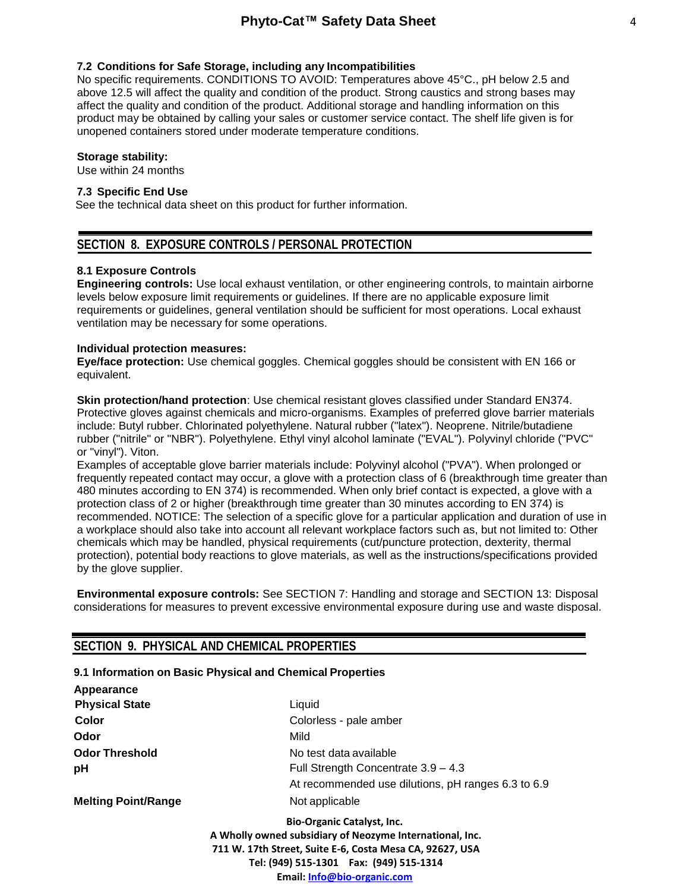### **7.2 Conditions for Safe Storage, including any Incompatibilities**

No specific requirements. CONDITIONS TO AVOID: Temperatures above 45°C., pH below 2.5 and above 12.5 will affect the quality and condition of the product. Strong caustics and strong bases may affect the quality and condition of the product. Additional storage and handling information on this product may be obtained by calling your sales or customer service contact. The shelf life given is for unopened containers stored under moderate temperature conditions.

### **Storage stability:**

Use within 24 months

# **7.3 Specific End Use**

See the technical data sheet on this product for further information.

# **SECTION 8. EXPOSURE CONTROLS / PERSONAL PROTECTION**

### **8.1 Exposure Controls**

**Engineering controls:** Use local exhaust ventilation, or other engineering controls, to maintain airborne levels below exposure limit requirements or guidelines. If there are no applicable exposure limit requirements or guidelines, general ventilation should be sufficient for most operations. Local exhaust ventilation may be necessary for some operations.

### **Individual protection measures:**

**Eye/face protection:** Use chemical goggles. Chemical goggles should be consistent with EN 166 or equivalent.

**Skin protection/hand protection**: Use chemical resistant gloves classified under Standard EN374. Protective gloves against chemicals and micro-organisms. Examples of preferred glove barrier materials include: Butyl rubber. Chlorinated polyethylene. Natural rubber ("latex"). Neoprene. Nitrile/butadiene rubber ("nitrile" or "NBR"). Polyethylene. Ethyl vinyl alcohol laminate ("EVAL"). Polyvinyl chloride ("PVC" or "vinyl"). Viton.

Examples of acceptable glove barrier materials include: Polyvinyl alcohol ("PVA"). When prolonged or frequently repeated contact may occur, a glove with a protection class of 6 (breakthrough time greater than 480 minutes according to EN 374) is recommended. When only brief contact is expected, a glove with a protection class of 2 or higher (breakthrough time greater than 30 minutes according to EN 374) is recommended. NOTICE: The selection of a specific glove for a particular application and duration of use in a workplace should also take into account all relevant workplace factors such as, but not limited to: Other chemicals which may be handled, physical requirements (cut/puncture protection, dexterity, thermal protection), potential body reactions to glove materials, as well as the instructions/specifications provided by the glove supplier.

**Environmental exposure controls:** See SECTION 7: Handling and storage and SECTION 13: Disposal considerations for measures to prevent excessive environmental exposure during use and waste disposal.

# **SECTION 9. PHYSICAL AND CHEMICAL PROPERTIES**

#### **9.1 Information on Basic Physical and Chemical Properties**

| Liquid                                                                                                                                                                                                                               |  |
|--------------------------------------------------------------------------------------------------------------------------------------------------------------------------------------------------------------------------------------|--|
| Colorless - pale amber                                                                                                                                                                                                               |  |
| Mild                                                                                                                                                                                                                                 |  |
| No test data available                                                                                                                                                                                                               |  |
| Full Strength Concentrate 3.9 - 4.3                                                                                                                                                                                                  |  |
| At recommended use dilutions, pH ranges 6.3 to 6.9                                                                                                                                                                                   |  |
| Not applicable                                                                                                                                                                                                                       |  |
| <b>Bio-Organic Catalyst, Inc.</b><br>A Wholly owned subsidiary of Neozyme International, Inc.<br>711 W. 17th Street, Suite E-6, Costa Mesa CA, 92627, USA<br>Tel: (949) 515-1301  Fax: (949) 515-1314<br>Email: Info@bio-organic.com |  |
|                                                                                                                                                                                                                                      |  |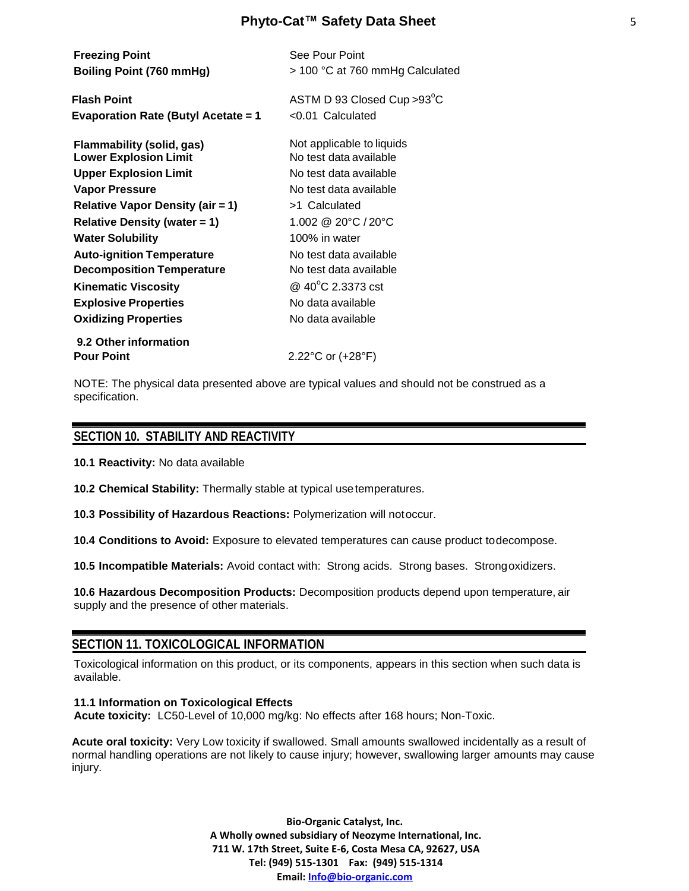| <b>Freezing Point</b><br>Boiling Point (760 mmHg)                | See Pour Point<br>> 100 °C at 760 mmHg Calculated   |
|------------------------------------------------------------------|-----------------------------------------------------|
| <b>Flash Point</b><br><b>Evaporation Rate (Butyl Acetate = 1</b> | ASTM D 93 Closed Cup > 93°C<br>$< 0.01$ Calculated  |
| <b>Flammability (solid, gas)</b><br><b>Lower Explosion Limit</b> | Not applicable to liquids<br>No test data available |
| <b>Upper Explosion Limit</b>                                     | No test data available                              |
| <b>Vapor Pressure</b>                                            | No test data available                              |
| <b>Relative Vapor Density (air = 1)</b>                          | >1 Calculated                                       |
| <b>Relative Density (water = 1)</b>                              | 1.002 @ 20°C / 20°C                                 |
| <b>Water Solubility</b>                                          | 100% in water                                       |
| <b>Auto-ignition Temperature</b>                                 | No test data available                              |
| <b>Decomposition Temperature</b>                                 | No test data available                              |
| <b>Kinematic Viscosity</b>                                       | @ 40°C 2.3373 cst                                   |
| <b>Explosive Properties</b>                                      | No data available                                   |
| <b>Oxidizing Properties</b>                                      | No data available                                   |
| 9.2 Other information                                            |                                                     |
| <b>Pour Point</b>                                                | 2.22°C or $(+28°F)$                                 |

NOTE: The physical data presented above are typical values and should not be construed as a specification.

# **SECTION 10. STABILITY AND REACTIVITY**

**10.1 Reactivity:** No data available

**10.2 Chemical Stability:** Thermally stable at typical usetemperatures.

**10.3 Possibility of Hazardous Reactions:** Polymerization will notoccur.

**10.4 Conditions to Avoid:** Exposure to elevated temperatures can cause product todecompose.

**10.5 Incompatible Materials:** Avoid contact with: Strong acids. Strong bases. Strongoxidizers.

**10.6 Hazardous Decomposition Products:** Decomposition products depend upon temperature, air supply and the presence of other materials.

# **SECTION 11. TOXICOLOGICAL INFORMATION**

Toxicological information on this product, or its components, appears in this section when such data is available.

**11.1 Information on Toxicological Effects Acute toxicity:** LC50-Level of 10,000 mg/kg: No effects after 168 hours; Non-Toxic.

**Acute oral toxicity:** Very Low toxicity if swallowed. Small amounts swallowed incidentally as a result of normal handling operations are not likely to cause injury; however, swallowing larger amounts may cause injury.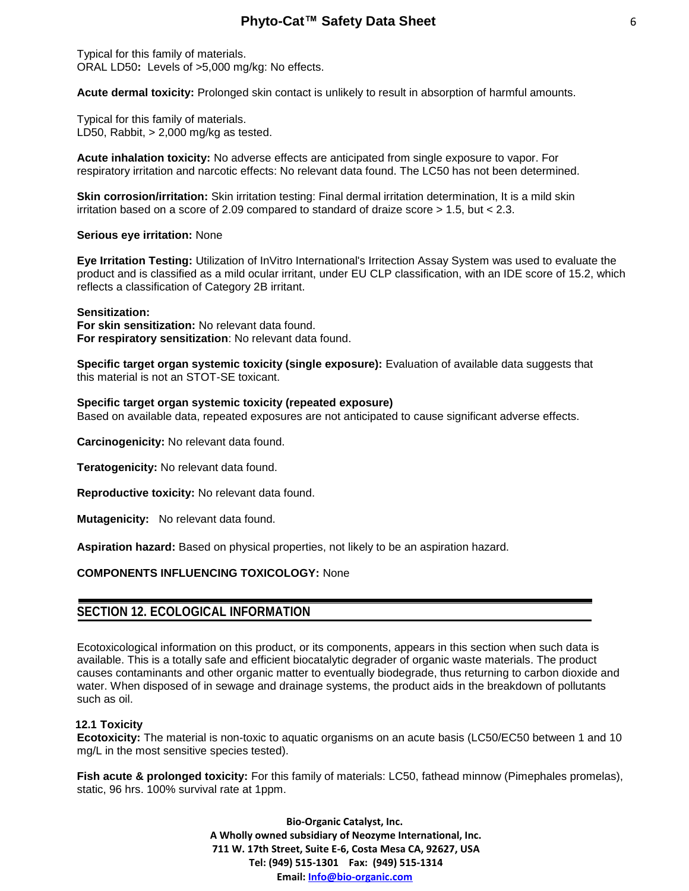Typical for this family of materials. ORAL LD50**:** Levels of >5,000 mg/kg: No effects.

**Acute dermal toxicity:** Prolonged skin contact is unlikely to result in absorption of harmful amounts.

Typical for this family of materials. LD50, Rabbit, > 2,000 mg/kg as tested.

**Acute inhalation toxicity:** No adverse effects are anticipated from single exposure to vapor. For respiratory irritation and narcotic effects: No relevant data found. The LC50 has not been determined.

**Skin corrosion/irritation:** Skin irritation testing: Final dermal irritation determination, It is a mild skin irritation based on a score of 2.09 compared to standard of draize score > 1.5, but < 2.3.

#### **Serious eye irritation:** None

**Eye Irritation Testing:** Utilization of InVitro International's Irritection Assay System was used to evaluate the product and is classified as a mild ocular irritant, under EU CLP classification, with an IDE score of 15.2, which reflects a classification of Category 2B irritant.

#### **Sensitization:**

**For skin sensitization:** No relevant data found. **For respiratory sensitization**: No relevant data found.

**Specific target organ systemic toxicity (single exposure):** Evaluation of available data suggests that this material is not an STOT-SE toxicant.

#### **Specific target organ systemic toxicity (repeated exposure)**

Based on available data, repeated exposures are not anticipated to cause significant adverse effects.

**Carcinogenicity:** No relevant data found.

**Teratogenicity:** No relevant data found.

**Reproductive toxicity:** No relevant data found.

**Mutagenicity:** No relevant data found.

**Aspiration hazard:** Based on physical properties, not likely to be an aspiration hazard.

#### **COMPONENTS INFLUENCING TOXICOLOGY:** None

# **SECTION 12. ECOLOGICAL INFORMATION**

Ecotoxicological information on this product, or its components, appears in this section when such data is available. This is a totally safe and efficient biocatalytic degrader of organic waste materials. The product causes contaminants and other organic matter to eventually biodegrade, thus returning to carbon dioxide and water. When disposed of in sewage and drainage systems, the product aids in the breakdown of pollutants such as oil.

### **12.1 Toxicity**

**Ecotoxicity:** The material is non-toxic to aquatic organisms on an acute basis (LC50/EC50 between 1 and 10 mg/L in the most sensitive species tested).

**Fish acute & prolonged toxicity:** For this family of materials: LC50, fathead minnow (Pimephales promelas), static, 96 hrs. 100% survival rate at 1ppm.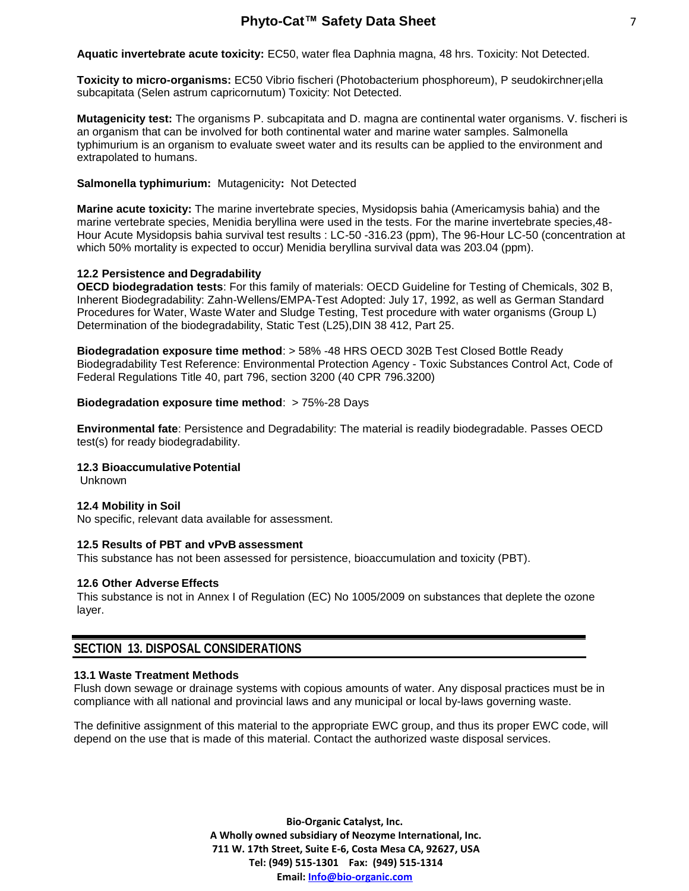**Aquatic invertebrate acute toxicity:** EC50, water flea Daphnia magna, 48 hrs. Toxicity: Not Detected.

**Toxicity to micro-organisms:** EC50 Vibrio fischeri (Photobacterium phosphoreum), P seudokirchner¡ella subcapitata (Selen astrum capricornutum) Toxicity: Not Detected.

**Mutagenicity test:** The organisms P. subcapitata and D. magna are continental water organisms. V. fischeri is an organism that can be involved for both continental water and marine water samples. Salmonella typhimurium is an organism to evaluate sweet water and its results can be applied to the environment and extrapolated to humans.

# **Salmonella typhimurium:** Mutagenicity**:** Not Detected

**Marine acute toxicity:** The marine invertebrate species, Mysidopsis bahia (Americamysis bahia) and the marine vertebrate species, Menidia beryllina were used in the tests. For the marine invertebrate species,48- Hour Acute Mysidopsis bahia survival test results : LC-50 -316.23 (ppm), The 96-Hour LC-50 (concentration at which 50% mortality is expected to occur) Menidia beryllina survival data was 203.04 (ppm).

# **12.2 Persistence and Degradability**

**OECD biodegradation tests**: For this family of materials: OECD Guideline for Testing of Chemicals, 302 B, Inherent Biodegradability: Zahn-Wellens/EMPA-Test Adopted: July 17, 1992, as well as German Standard Procedures for Water, Waste Water and Sludge Testing, Test procedure with water organisms (Group L) Determination of the biodegradability, Static Test (L25),DIN 38 412, Part 25.

**Biodegradation exposure time method**: > 58% -48 HRS OECD 302B Test Closed Bottle Ready Biodegradability Test Reference: Environmental Protection Agency - Toxic Substances Control Act, Code of Federal Regulations Title 40, part 796, section 3200 (40 CPR 796.3200)

# **Biodegradation exposure time method: > 75%-28 Days**

**Environmental fate**: Persistence and Degradability: The material is readily biodegradable. Passes OECD test(s) for ready biodegradability.

# **12.3 BioaccumulativePotential**

Unknown

# **12.4 Mobility in Soil**

No specific, relevant data available for assessment.

# **12.5 Results of PBT and vPvB assessment**

This substance has not been assessed for persistence, bioaccumulation and toxicity (PBT).

# **12.6 Other Adverse Effects**

This substance is not in Annex I of Regulation (EC) No 1005/2009 on substances that deplete the ozone layer.

# **SECTION 13. DISPOSAL CONSIDERATIONS**

# **13.1 Waste Treatment Methods**

Flush down sewage or drainage systems with copious amounts of water. Any disposal practices must be in compliance with all national and provincial laws and any municipal or local by-laws governing waste.

The definitive assignment of this material to the appropriate EWC group, and thus its proper EWC code, will depend on the use that is made of this material. Contact the authorized waste disposal services.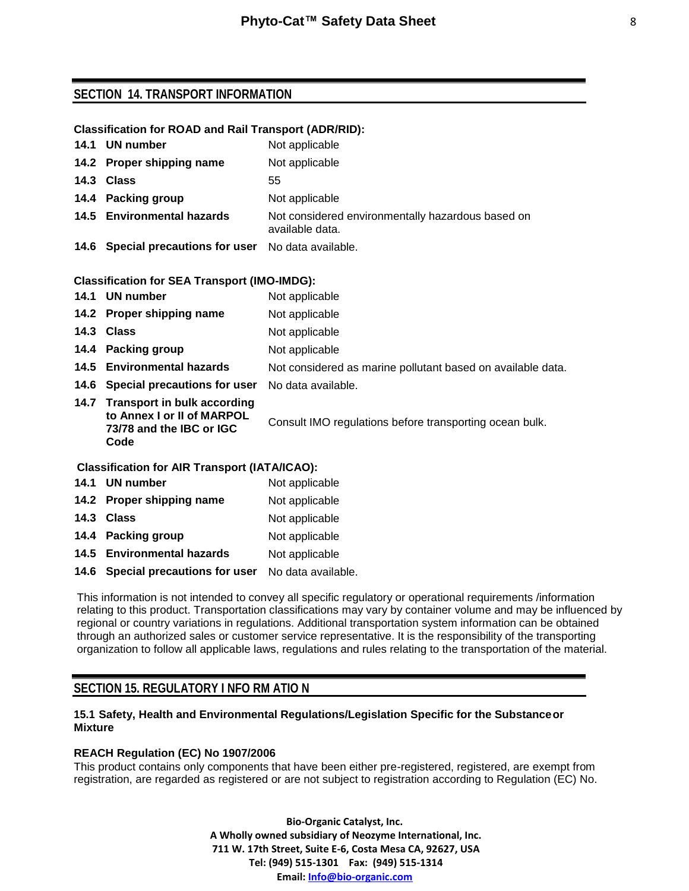# **SECTION 14. TRANSPORT INFORMATION**

# **Classification for ROAD and Rail Transport (ADR/RID):**

| 14.1 UN number                                       | Not applicable                                                       |
|------------------------------------------------------|----------------------------------------------------------------------|
| 14.2 Proper shipping name                            | Not applicable                                                       |
| 14.3 Class                                           | 55                                                                   |
| 14.4 Packing group                                   | Not applicable                                                       |
| 14.5 Environmental hazards                           | Not considered environmentally hazardous based on<br>available data. |
| 14.6 Special precautions for user No data available. |                                                                      |

# **Classification for SEA Transport (IMO-IMDG):**

| 14.1                                                 | UN number                                                                                          | Not applicable                                              |
|------------------------------------------------------|----------------------------------------------------------------------------------------------------|-------------------------------------------------------------|
|                                                      | 14.2 Proper shipping name                                                                          | Not applicable                                              |
|                                                      | 14.3 Class                                                                                         | Not applicable                                              |
|                                                      | 14.4 Packing group                                                                                 | Not applicable                                              |
|                                                      | 14.5 Environmental hazards                                                                         | Not considered as marine pollutant based on available data. |
|                                                      | 14.6 Special precautions for user                                                                  | No data available.                                          |
|                                                      | 14.7 Transport in bulk according<br>to Annex I or II of MARPOL<br>73/78 and the IBC or IGC<br>Code | Consult IMO regulations before transporting ocean bulk.     |
| <b>Classification for AIR Transport (IATA/ICAO):</b> |                                                                                                    |                                                             |

# **Classification for AIR Transport (IATA/ICAO):**

| 14.1 UN number                                       | Not applicable |
|------------------------------------------------------|----------------|
| 14.2 Proper shipping name                            | Not applicable |
| 14.3 Class                                           | Not applicable |
| 14.4 Packing group                                   | Not applicable |
| 14.5 Environmental hazards                           | Not applicable |
| 14.6 Special precautions for user No data available. |                |

This information is not intended to convey all specific regulatory or operational requirements /information relating to this product. Transportation classifications may vary by container volume and may be influenced by regional or country variations in regulations. Additional transportation system information can be obtained through an authorized sales or customer service representative. It is the responsibility of the transporting organization to follow all applicable laws, regulations and rules relating to the transportation of the material.

# **SECTION 15. REGULATORY I NFO RM ATIO N**

# **15.1 Safety, Health and Environmental Regulations/Legislation Specific for the Substanceor Mixture**

# **REACH Regulation (EC) No 1907/2006**

This product contains only components that have been either pre-registered, registered, are exempt from registration, are regarded as registered or are not subject to registration according to Regulation (EC) No.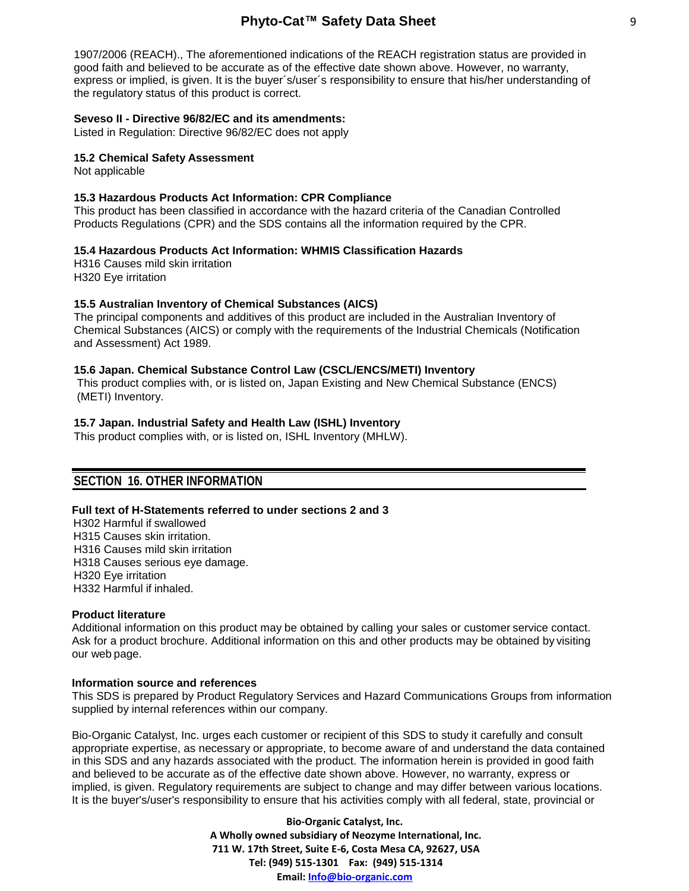1907/2006 (REACH)., The aforementioned indications of the REACH registration status are provided in good faith and believed to be accurate as of the effective date shown above. However, no warranty, express or implied, is given. It is the buyer´s/user´s responsibility to ensure that his/her understanding of the regulatory status of this product is correct.

### **Seveso II - Directive 96/82/EC and its amendments:**

Listed in Regulation: Directive 96/82/EC does not apply

### **15.2 Chemical Safety Assessment**

Not applicable

### **15.3 Hazardous Products Act Information: CPR Compliance**

This product has been classified in accordance with the hazard criteria of the Canadian Controlled Products Regulations (CPR) and the SDS contains all the information required by the CPR.

### **15.4 Hazardous Products Act Information: WHMIS Classification Hazards**

H316 Causes mild skin irritation H320 Eye irritation

### **15.5 Australian Inventory of Chemical Substances (AICS)**

The principal components and additives of this product are included in the Australian Inventory of Chemical Substances (AICS) or comply with the requirements of the Industrial Chemicals (Notification and Assessment) Act 1989.

### **15.6 Japan. Chemical Substance Control Law (CSCL/ENCS/METI) Inventory**

This product complies with, or is listed on, Japan Existing and New Chemical Substance (ENCS) (METI) Inventory.

### **15.7 Japan. Industrial Safety and Health Law (ISHL) Inventory**

This product complies with, or is listed on, ISHL Inventory (MHLW).

# **SECTION 16. OTHER INFORMATION**

### **Full text of H-Statements referred to under sections 2 and 3**

 H302 Harmful if swallowed H315 Causes skin irritation. H316 Causes mild skin irritation H318 Causes serious eye damage. H320 Eye irritation H332 Harmful if inhaled.

#### **Product literature**

Additional information on this product may be obtained by calling your sales or customer service contact. Ask for a product brochure. Additional information on this and other products may be obtained by visiting our web page.

#### **Information source and references**

This SDS is prepared by Product Regulatory Services and Hazard Communications Groups from information supplied by internal references within our company.

Bio-Organic Catalyst, Inc. urges each customer or recipient of this SDS to study it carefully and consult appropriate expertise, as necessary or appropriate, to become aware of and understand the data contained in this SDS and any hazards associated with the product. The information herein is provided in good faith and believed to be accurate as of the effective date shown above. However, no warranty, express or implied, is given. Regulatory requirements are subject to change and may differ between various locations. It is the buyer's/user's responsibility to ensure that his activities comply with all federal, state, provincial or